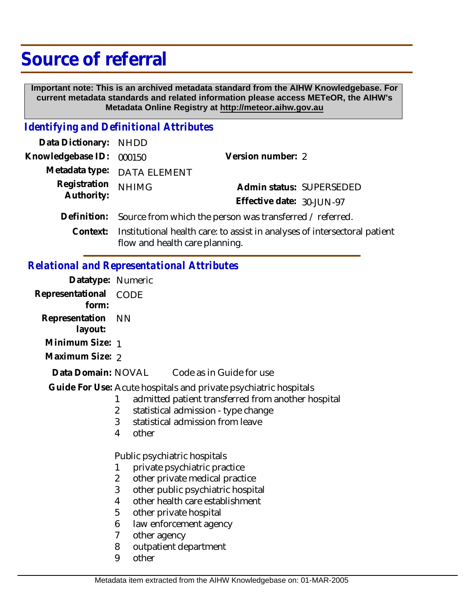## **Source of referral**

 **Important note: This is an archived metadata standard from the AIHW Knowledgebase. For current metadata standards and related information please access METeOR, the AIHW's Metadata Online Registry at http://meteor.aihw.gov.au**

## *Identifying and Definitional Attributes*

| Data Dictionary: NHDD    |                                                                                                                                     |                           |                          |
|--------------------------|-------------------------------------------------------------------------------------------------------------------------------------|---------------------------|--------------------------|
| Knowledgebase ID: 000150 |                                                                                                                                     | Version number: 2         |                          |
|                          | Metadata type: DATA ELEMENT                                                                                                         |                           |                          |
| Registration             | <b>NHIMG</b>                                                                                                                        |                           | Admin status: SUPERSEDED |
| Authority:               |                                                                                                                                     | Effective date: 30-JUN-97 |                          |
|                          | Definition: Source from which the person was transferred / referred.                                                                |                           |                          |
|                          | $Contrut$ , $Institutional$ $heal$ <sup>+</sup> $heal$ <sup>+</sup> $heo$ $the$ $constrat$ $in$ $onoll$ $noq$ , $of$ $intercoodron$ |                           |                          |

Context: Institutional health care: to assist in analyses of intersectoral patient flow and health care planning.

## *Relational and Representational Attributes*

| Datatype: Numeric              |                                                                                                                                                                                                                                                                                                        |
|--------------------------------|--------------------------------------------------------------------------------------------------------------------------------------------------------------------------------------------------------------------------------------------------------------------------------------------------------|
| Representational CODE<br>form: |                                                                                                                                                                                                                                                                                                        |
| Representation<br>layout:      | - NN                                                                                                                                                                                                                                                                                                   |
| Minimum Size: 1                |                                                                                                                                                                                                                                                                                                        |
| Maximum Size: 2                |                                                                                                                                                                                                                                                                                                        |
| Data Domain: NOVAL             | Code as in Guide for use                                                                                                                                                                                                                                                                               |
|                                | Guide For Use: Acute hospitals and private psychiatric hospitals<br>admitted patient transferred from another hospital<br>1<br>statistical admission - type change<br>2<br>3<br>statistical admission from leave<br>4<br>other                                                                         |
|                                | Public psychiatric hospitals                                                                                                                                                                                                                                                                           |
|                                | private psychiatric practice<br>1<br>$\overline{2}$<br>other private medical practice<br>3<br>other public psychiatric hospital<br>other health care establishment<br>4<br>5<br>other private hospital<br>law enforcement agency<br>6<br>7<br>other agency<br>outpatient department<br>8<br>9<br>other |